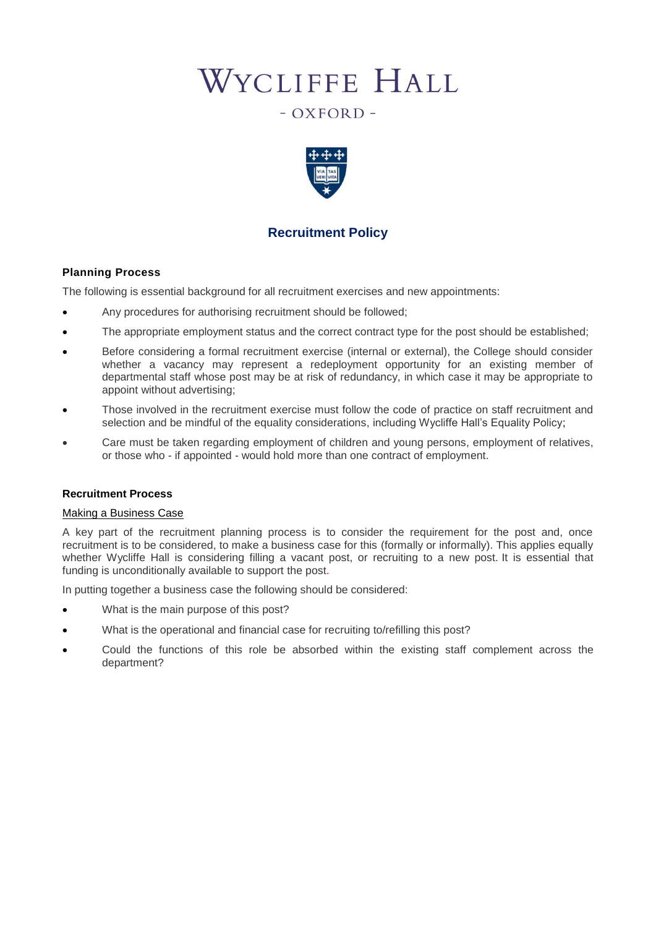# WYCLIFFE HALL

# $-$  OXFORD  $-$



# **Recruitment Policy**

# **Planning Process**

The following is essential background for all recruitment exercises and new appointments:

- Any procedures for authorising recruitment should be followed;
- The appropriate employment status and the correct contract type for the post should be established;
- Before considering a formal recruitment exercise (internal or external), the College should consider whether a vacancy may represent a redeployment opportunity for an existing member of departmental staff whose post may be at risk of redundancy, in which case it may be appropriate to appoint without advertising;
- Those involved in the recruitment exercise must follow the code of practice on staff recruitment and selection and be mindful of the equality considerations, including Wycliffe Hall's Equality Policy;
- Care must be taken regarding [employment of children and young persons,](http://www.admin.ox.ac.uk/personnel/recruit/background/employchild/) [employment of relatives,](http://www.admin.ox.ac.uk/personnel/recruit/background/employrel/) or those who - if appointed - would hold more than one contract of employment.

# **Recruitment Process**

#### Making a Business Case

A key part of the recruitment planning process is to consider the requirement for the post and, once recruitment is to be considered, to make a business case for this (formally or informally). This applies equally whether Wycliffe Hall is considering filling a vacant post, or recruiting to a new post. It is essential that funding is unconditionally available to support the post.

In putting together a business case the following should be considered:

- What is the main purpose of this post?
- What is the operational and financial case for recruiting to/refilling this post?
- Could the functions of this role be absorbed within the existing staff complement across the department?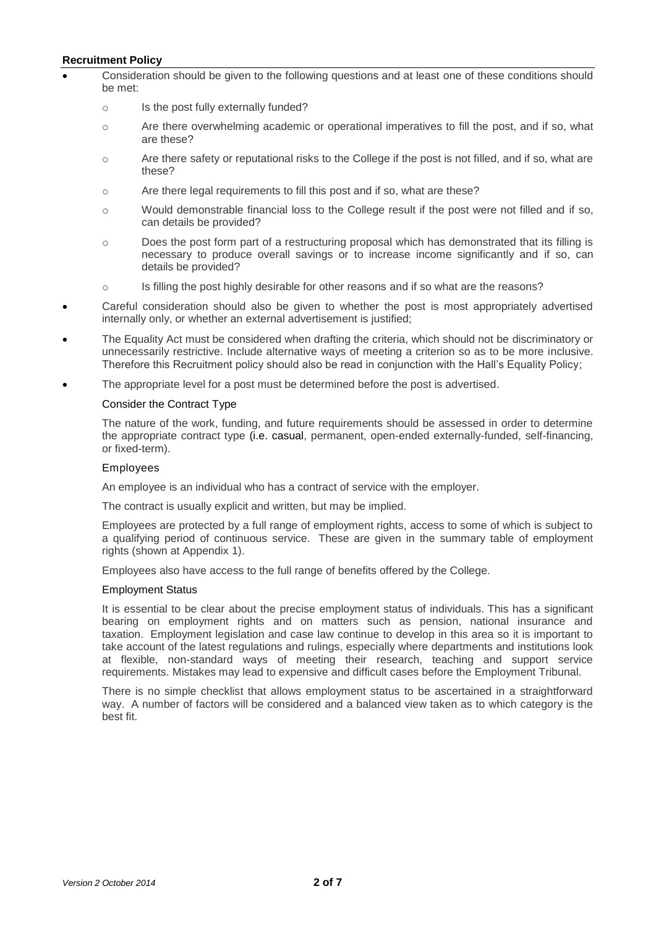- Consideration should be given to the following questions and at least one of these conditions should be met:
	- o Is the post fully externally funded?
	- o Are there overwhelming academic or operational imperatives to fill the post, and if so, what are these?
	- o Are there safety or reputational risks to the College if the post is not filled, and if so, what are these?
	- o Are there legal requirements to fill this post and if so, what are these?
	- o Would demonstrable financial loss to the College result if the post were not filled and if so, can details be provided?
	- o Does the post form part of a restructuring proposal which has demonstrated that its filling is necessary to produce overall savings or to increase income significantly and if so, can details be provided?
	- o Is filling the post highly desirable for other reasons and if so what are the reasons?
- Careful consideration should also be given to whether the post is most appropriately advertised internally only, or whether an external advertisement is justified;
- The Equality Act must be considered when drafting the criteria, which should not be discriminatory or unnecessarily restrictive. Include alternative ways of meeting a criterion so as to be more inclusive. Therefore this Recruitment policy should also be read in conjunction with the Hall's Equality Policy;
- The appropriate level for a post must be determined before the post is advertised.

#### Consider the Contract Type

The nature of the work, funding, and future requirements should be assessed in order to determine the appropriate contract type (i.e. casual, permanent, open-ended externally-funded, self-financing, or fixed-term).

#### Employees

An employee is an individual who has a contract of service with the employer.

The contract is usually explicit and written, but may be implied.

Employees are protected by a full range of employment rights, access to some of which is subject to a qualifying period of continuous service. These are given in the [summary table of employment](http://www.admin.ox.ac.uk/personnel/recruit/background/employstatus/table/)  [rights](http://www.admin.ox.ac.uk/personnel/recruit/background/employstatus/table/) (shown at Appendix 1).

Employees also have access to the full range of benefits offered by the College.

#### Employment Status

It is essential to be clear about the precise employment status of individuals. This has a significant bearing on employment rights and on matters such as pension, national insurance and taxation. Employment legislation and case law continue to develop in this area so it is important to take account of the latest regulations and rulings, especially where departments and institutions look at flexible, non-standard ways of meeting their research, teaching and support service requirements. Mistakes may lead to expensive and difficult cases before the Employment Tribunal.

There is no simple checklist that allows employment status to be ascertained in a straightforward way. A number of factors will be considered and a balanced view taken as to which category is the best fit.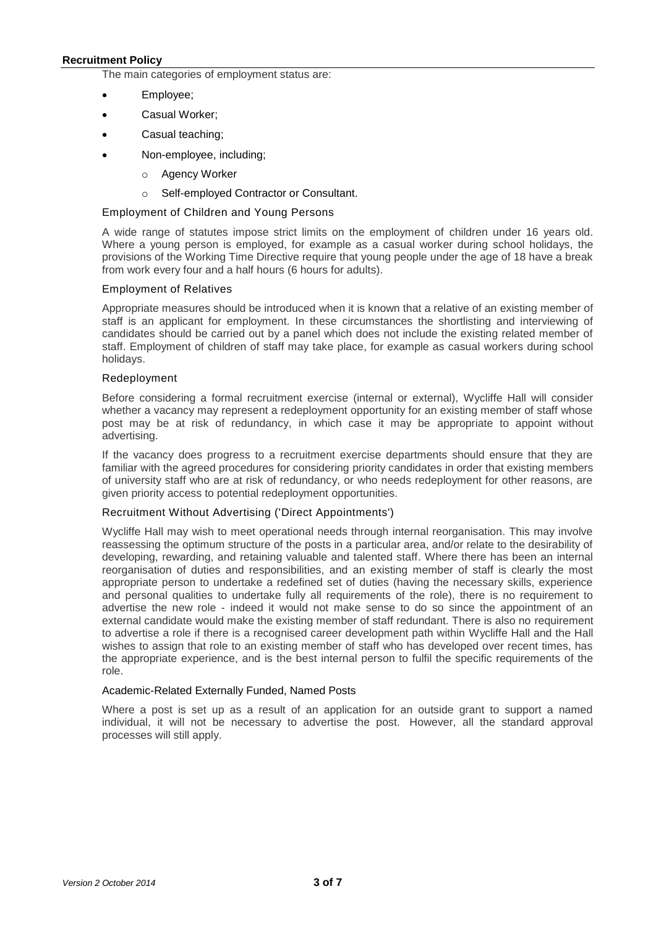The main categories of employment status are:

- [Employee;](http://www.admin.ox.ac.uk/personnel/recruit/background/employstatus/employee/)
- Casual Worker;
- [Casual teaching;](http://www.admin.ox.ac.uk/personnel/recruit/background/employstatus/casteach/)
- [Non-employee,](http://www.admin.ox.ac.uk/personnel/recruit/background/employstatus/non-emp/) including;
	- o [Agency Worker](http://www.admin.ox.ac.uk/personnel/recruit/background/employstatus/non-emp/agency/)
	- o [Self-employed Contractor or Consultant.](http://www.admin.ox.ac.uk/personnel/recruit/background/employstatus/non-emp/selfemploy/)

#### Employment of Children and Young Persons

A wide range of statutes impose strict limits on the employment of children under 16 years old. Where a young person is employed, for example as a casual worker during school holidays, the provisions of the Working Time Directive require that young people under the age of 18 have a break from work every four and a half hours (6 hours for adults).

#### Employment of Relatives

Appropriate measures should be introduced when it is known that a relative of an existing member of staff is an applicant for employment. In these circumstances the shortlisting and interviewing of candidates should be carried out by a panel which does not include the existing related member of staff. Employment of children of staff may take place, for example as casual workers during school holidays.

#### Redeployment

Before considering a formal recruitment exercise (internal or external), Wycliffe Hall will consider whether a vacancy may represent a redeployment opportunity for an existing member of staff whose post may be at risk of redundancy, in which case it may be appropriate to appoint without advertising.

If the vacancy does progress to a recruitment exercise departments should ensure that they are familiar with the agreed procedures for considering [priority candidates](http://www.admin.ox.ac.uk/personnel/end/red/redproc/prioritycandidate/) in order that existing members of university staff who are at risk of redundancy, or who needs redeployment for other reasons, are given priority access to potential redeploymen[t](http://www.admin.ox.ac.uk/personnel/end/red/endftc/5stages/#d.en.60717) opportunities.

#### Recruitment Without Advertising ('Direct Appointments')

Wycliffe Hall may wish to meet operational needs through internal reorganisation. This may involve reassessing the optimum structure of the posts in a particular area, and/or relate to the desirability of developing, rewarding, and retaining valuable and talented staff. Where there has been an internal reorganisation of duties and responsibilities, and an existing member of staff is clearly the most appropriate person to undertake a redefined set of duties (having the necessary skills, experience and personal qualities to undertake fully all requirements of the role), there is no requirement to advertise the new role - indeed it would not make sense to do so since the appointment of an external candidate would make the existing member of staff redundant. There is also no requirement to advertise a role if there is a recognised career development path within Wycliffe Hall and the Hall wishes to assign that role to an existing member of staff who has developed over recent times, has the appropriate experience, and is the best internal person to fulfil the specific requirements of the role.

#### Academic-Related Externally Funded, Named Posts

Where a post is set up as a result of an application for an outside grant to support a named individual, it will not be necessary to advertise the post. However, all the standard approval processes will still apply.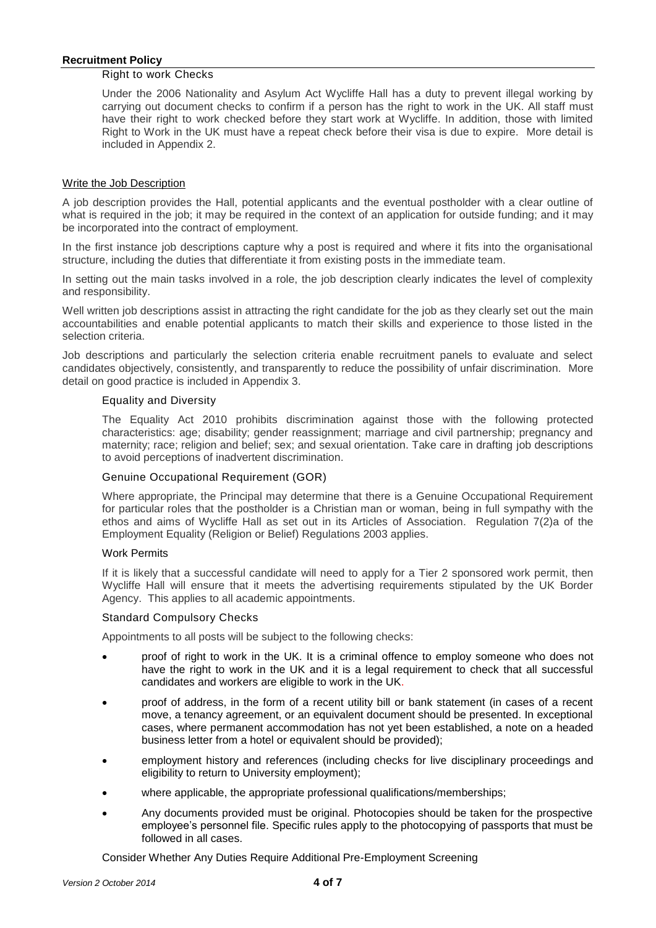#### Right to work Checks

Under the 2006 Nationality and Asylum Act Wycliffe Hall has a duty to prevent illegal working by carrying out document checks to confirm if a person has the right to work in the UK. All staff must have their right to work checked before they start work at Wycliffe. In addition, those with limited Right to Work in the UK must have a repeat check before their visa is due to expire. More detail is included in Appendix 2.

#### Write the Job Description

A job description provides the Hall, potential applicants and the eventual postholder with a clear outline of what is required in the job; it may be required in the context of an application for outside funding; and it may be incorporated into the contract of employment.

In the first instance job descriptions capture why a post is required and where it fits into the organisational structure, including the duties that differentiate it from existing posts in the immediate team.

In setting out the main tasks involved in a role, the job description clearly indicates the level of complexity and responsibility.

Well written job descriptions assist in attracting the right candidate for the job as they clearly set out the main accountabilities and enable potential applicants to match their skills and experience to those listed in the selection criteria.

Job descriptions and particularly the selection criteria enable recruitment panels to evaluate and select candidates objectively, consistently, and transparently to reduce the possibility of unfair discrimination. More detail on good practice is included in Appendix 3.

# Equality and Diversity

The Equality Act 2010 prohibits discrimination against those with the following protected characteristics: age; disability; gender reassignment; marriage and civil partnership; pregnancy and maternity; race; religion and belief; sex; and sexual orientation. Take care in drafting job descriptions to avoid perceptions of inadvertent discrimination.

#### Genuine Occupational Requirement (GOR)

Where appropriate, the Principal may determine that there is a Genuine Occupational Requirement for particular roles that the postholder is a Christian man or woman, being in full sympathy with the ethos and aims of Wycliffe Hall as set out in its Articles of Association. Regulation 7(2)a of the Employment Equality (Religion or Belief) Regulations 2003 applies.

#### Work Permits

If it is likely that a successful candidate will need to apply for a Tier 2 sponsored work permit, then Wycliffe Hall will ensure that it meets the advertising requirements stipulated by the UK Border Agency. This applies to all academic appointments.

#### Standard Compulsory Checks

Appointments to all posts will be subject to the following checks:

- proof of [right to work](http://www.admin.ox.ac.uk/personnel/recruit/preempcheck/compulsorychecks/righttowork/) in the UK. It is a criminal offence to employ someone who does not have the right to work in the UK and it is a legal requirement to check that all successful candidates and workers are eligible to work in the UK.
- proof of address, in the form of a recent utility bill or bank statement (in cases of a recent move, a tenancy agreement, or an equivalent document should be presented. In exceptional cases, where permanent accommodation has not yet been established, a note on a headed business letter from a hotel or equivalent should be provided);
- employment history and [references](http://www.admin.ox.ac.uk/personnel/recruit/preempcheck/compulsorychecks/references/) (including checks for live disciplinary proceedings and eligibility to return to University employment);
- where applicable, the appropriate professional qualifications/memberships;
- Any documents provided must be original. Photocopies should be taken for the prospective employee's personnel file. Specific rules apply to the photocopying of passports that must be followed in all cases.

Consider Whether Any Duties Require Additional Pre-Employment Screening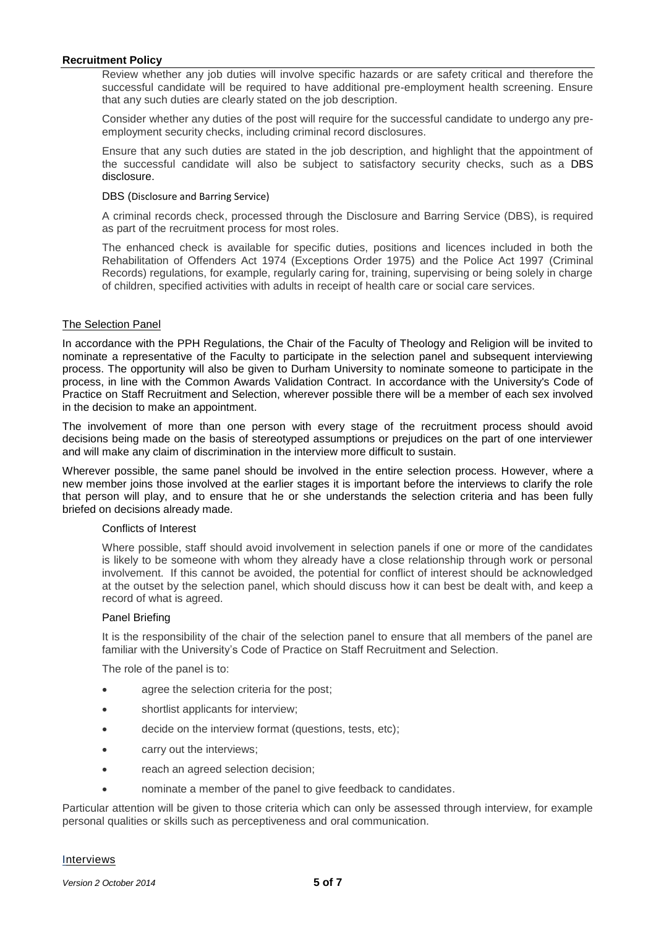Review whether any job duties will involve specific hazards or are safety critical and therefore the successful candidate will be required to have additional pre-employment health screening. Ensure that any such duties are clearly stated on the job description.

Consider whether any duties of the post will require for the successful candidate to undergo any preemployment security checks, including criminal record disclosures.

Ensure that any such duties are stated in the job description, and highlight that the appointment of the successful candidate will also be subject to satisfactory security checks, such as a [DBS](http://www.admin.ox.ac.uk/personnel/recruit/preempcheck/add_pre-emp_checks/dbsscreening/)  [disclosure.](http://www.admin.ox.ac.uk/personnel/recruit/preempcheck/add_pre-emp_checks/dbsscreening/)

#### DBS (Disclosure and Barring Service)

A criminal records check, processed through the Disclosure and Barring Service (DBS), is required as part of the recruitment process for most roles.

The enhanced check is available for specific duties, positions and licences included in both the Rehabilitation of Offenders Act 1974 (Exceptions Order 1975) and the Police Act 1997 (Criminal Records) regulations, for example, regularly caring for, training, supervising or being solely in charge of children, specified activities with adults in receipt of health care or social care services.

#### The Selection Panel

In accordance with the PPH Regulations, the Chair of the Faculty of Theology and Religion will be invited to nominate a representative of the Faculty to participate in the selection panel and subsequent interviewing process. The opportunity will also be given to Durham University to nominate someone to participate in the process, in line with the Common Awards Validation Contract. In accordance with the [University's Code of](http://www.admin.ox.ac.uk/eop/recruitmentmonitoring/recruitmentcodepractice/)  [Practice on Staff Recruitment and Selection,](http://www.admin.ox.ac.uk/eop/recruitmentmonitoring/recruitmentcodepractice/) wherever possible there will be a member of each sex involved in the decision to make an appointment.

The involvement of more than one person with every stage of the recruitment process should avoid decisions being made on the basis of stereotyped assumptions or prejudices on the part of one interviewer and will make any claim of discrimination in the interview more difficult to sustain.

Wherever possible, the same panel should be involved in the entire selection process. However, where a new member joins those involved at the earlier stages it is important before the interviews to clarify the role that person will play, and to ensure that he or she understands the selection criteria and has been fully briefed on decisions already made.

#### Conflicts of Interest

Where possible, staff should avoid involvement in selection panels if one or more of the candidates is likely to be someone with whom they already have a close relationship through work or personal involvement. If this cannot be avoided, the potential for conflict of interest should be acknowledged at the outset by the selection panel, which should discuss how it can best be dealt with, and keep a record of what is agreed.

#### Panel Briefing

It is the responsibility of the chair of the selection panel to ensure that all members of the panel are familiar with the University's Code of Practice on Staff Recruitment and Selection.

The role of the panel is to:

- agree the selection criteria for the post;
- shortlist applicants for interview;
- decide on the interview format (questions, tests, etc);
- carry out the interviews;
- reach an agreed selection decision;
- nominate a member of the panel to give feedback to candidates.

Particular attention will be given to those criteria which can only be assessed through interview, for example personal qualities or skills such as perceptiveness and oral communication.

#### Interviews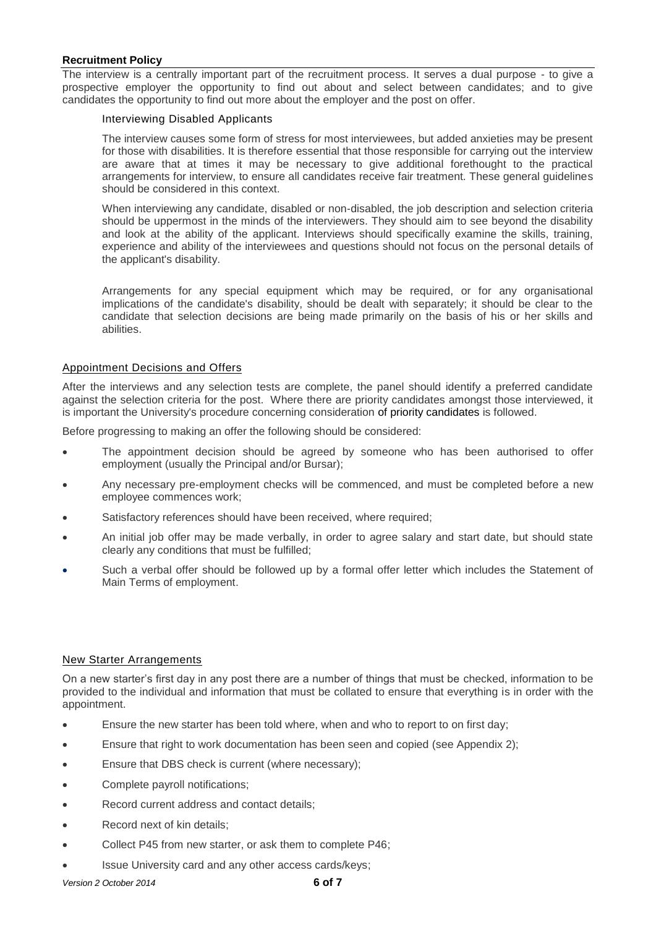The interview is a centrally important part of the recruitment process. It serves a dual purpose - to give a prospective employer the opportunity to find out about and select between candidates; and to give candidates the opportunity to find out more about the employer and the post on offer.

## Interviewing Disabled Applicants

The interview causes some form of stress for most interviewees, but added anxieties may be present for those with disabilities. It is therefore essential that those responsible for carrying out the interview are aware that at times it may be necessary to give additional forethought to the practical arrangements for interview, to ensure all candidates receive fair treatment. These general guidelines should be considered in this context.

When interviewing any candidate, disabled or non-disabled, the job description and selection criteria should be uppermost in the minds of the interviewers. They should aim to see beyond the disability and look at the ability of the applicant. Interviews should specifically examine the skills, training, experience and ability of the interviewees and questions should not focus on the personal details of the applicant's disability.

Arrangements for any special equipment which may be required, or for any organisational implications of the candidate's disability, should be dealt with separately; it should be clear to the candidate that selection decisions are being made primarily on the basis of his or her skills and abilities.

# Appointment Decisions and Offers

After the interviews and any selection tests are complete, the panel should identify a preferred candidate against the selection criteria for the post. Where there are priority candidates amongst those interviewed, it is important the University's procedure concerning consideration of [priority candidates i](http://www.admin.ox.ac.uk/personnel/end/red/redproc/prioritycandidate/)s followed.

Before progressing to making an offer the following should be considered:

- The appointment decision should be agreed by someone who has been [authorised to offer](http://www.admin.ox.ac.uk/personnel/recruit/background/authtohire/)  [employment](http://www.admin.ox.ac.uk/personnel/recruit/background/authtohire/) (usually the Principal and/or Bursar);
- Any necessary pre-employment checks will be commenced, and must be completed before a new employee commences work;
- Satisfactory references should have been received, where required;
- An initial job offer may be made verbally, in order to agree salary and start date, but should state clearly any conditions that must be fulfilled;
- Such a verbal offer should be followed up by a formal offer letter which includes the Statement of Main Terms of employment.

#### New Starter Arrangements

On a new starter's first day in any post there are a number of things that must be checked, information to be provided to the individual and information that must be collated to ensure that everything is in order with the appointment.

- Ensure the new starter has been told where, when and who to report to on first day;
- Ensure that right to work documentation has been seen and copied (see Appendix 2);
- Ensure that DBS check is current (where necessary);
- Complete payroll notifications;
- Record current address and contact details;
- Record next of kin details;
- Collect P45 from new starter, or ask them to complete P46;
- Issue University card and any other access cards/keys;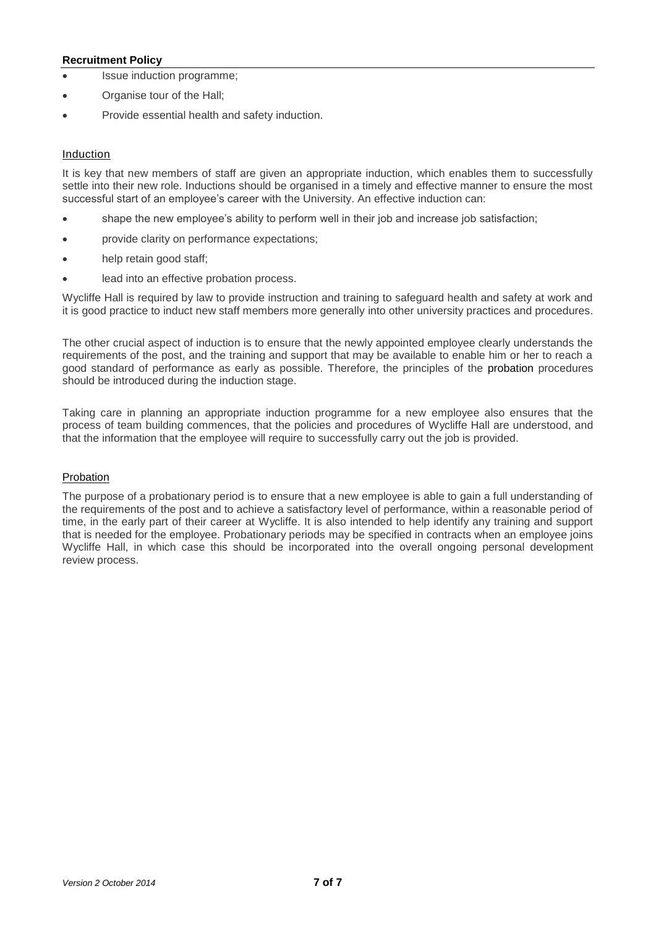- **ISSUE** induction programme;
- Organise tour of the Hall;
- Provide essential health and safety induction.

#### Induction

It is key that new members of staff are given an appropriate induction, which enables them to successfully settle into their new role. Inductions should be organised in a timely and effective manner to ensure the most successful start of an employee's career with the University. An effective induction can:

- shape the new employee's ability to perform well in their job and increase job satisfaction;
- provide clarity on performance expectations;
- help retain good staff;
- lead into an effective probation process.

Wycliffe Hall is required by law to provide instruction and training to safeguard health and safety at work and it is good practice to induct new staff members more generally into other university practices and procedures.

The other crucial aspect of induction is to ensure that the newly appointed employee clearly understands the requirements of the post, and the training and support that may be available to enable him or her to reach a good standard of performance as early as possible. Therefore, the principles of the [probation](http://www.admin.ox.ac.uk/personnel/recruit/probation/) procedures should be introduced during the induction stage.

Taking care in planning an appropriate induction programme for a new employee also ensures that the process of team building commences, that the policies and procedures of Wycliffe Hall are understood, and that the information that the employee will require to successfully carry out the job is provided.

#### Probation

The purpose of a probationary period is to ensure that a new employee is able to gain a full understanding of the requirements of the post and to achieve a satisfactory level of performance, within a reasonable period of time, in the early part of their career at Wycliffe. It is also intended to help identify any training and support that is needed for the employee. Probationary periods may be specified in contracts when an employee joins Wycliffe Hall, in which case this should be incorporated into the overall ongoing personal development review process.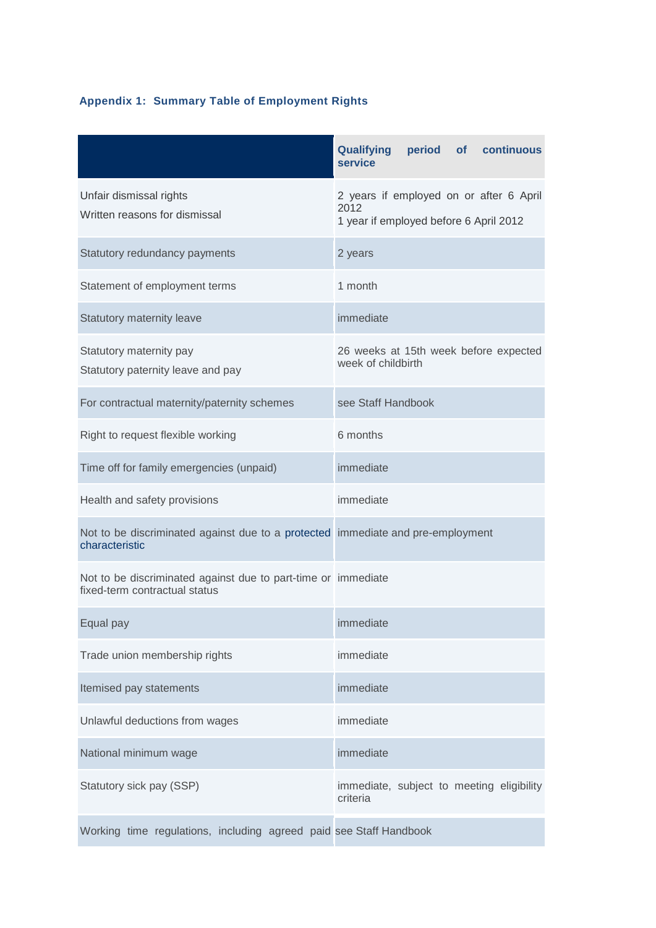# **Appendix 1: Summary Table of Employment Rights**

|                                                                                                   | <b>Qualifying</b><br>period of continuous<br>service                                      |  |  |  |  |
|---------------------------------------------------------------------------------------------------|-------------------------------------------------------------------------------------------|--|--|--|--|
| Unfair dismissal rights<br>Written reasons for dismissal                                          | 2 years if employed on or after 6 April<br>2012<br>1 year if employed before 6 April 2012 |  |  |  |  |
| Statutory redundancy payments                                                                     | 2 years                                                                                   |  |  |  |  |
| Statement of employment terms                                                                     | 1 month                                                                                   |  |  |  |  |
| Statutory maternity leave                                                                         | immediate                                                                                 |  |  |  |  |
| Statutory maternity pay<br>Statutory paternity leave and pay                                      | 26 weeks at 15th week before expected<br>week of childbirth                               |  |  |  |  |
| For contractual maternity/paternity schemes                                                       | see Staff Handbook                                                                        |  |  |  |  |
| Right to request flexible working                                                                 | 6 months                                                                                  |  |  |  |  |
| Time off for family emergencies (unpaid)                                                          | immediate                                                                                 |  |  |  |  |
| Health and safety provisions                                                                      | immediate                                                                                 |  |  |  |  |
| Not to be discriminated against due to a protected immediate and pre-employment<br>characteristic |                                                                                           |  |  |  |  |
| Not to be discriminated against due to part-time or immediate<br>fixed-term contractual status    |                                                                                           |  |  |  |  |
| Equal pay                                                                                         | immediate                                                                                 |  |  |  |  |
| Trade union membership rights                                                                     | immediate                                                                                 |  |  |  |  |
| Itemised pay statements                                                                           | immediate                                                                                 |  |  |  |  |
| Unlawful deductions from wages                                                                    | immediate                                                                                 |  |  |  |  |
| National minimum wage                                                                             | immediate                                                                                 |  |  |  |  |
| Statutory sick pay (SSP)                                                                          | immediate, subject to meeting eligibility<br>criteria                                     |  |  |  |  |
| Working time regulations, including agreed paid see Staff Handbook                                |                                                                                           |  |  |  |  |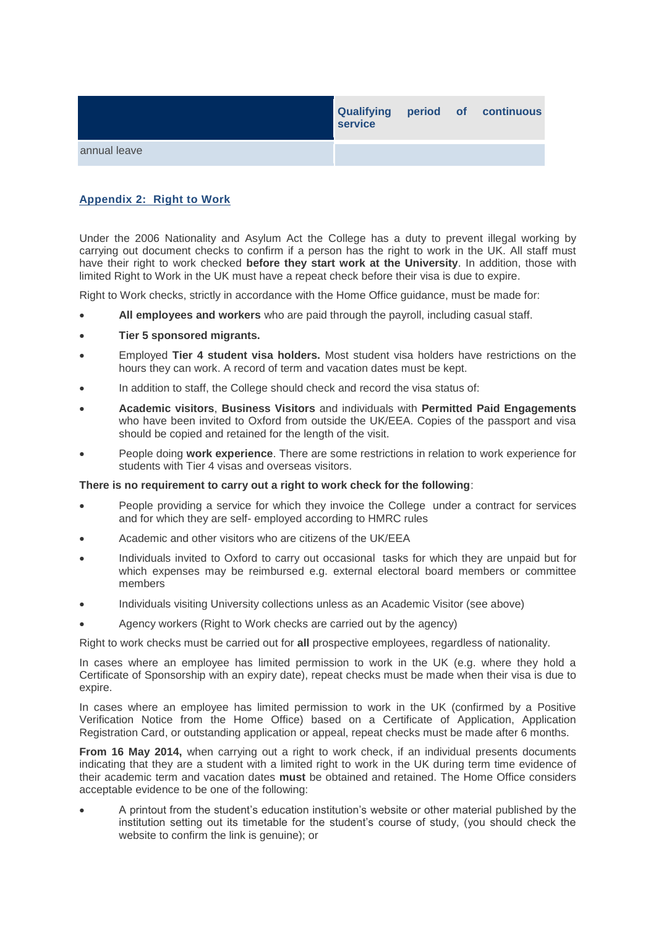|              | <b>Qualifying</b><br>service |  | period of continuous |
|--------------|------------------------------|--|----------------------|
| annual leave |                              |  |                      |

# **Appendix 2: Right to Work**

Under the 2006 Nationality and Asylum Act the College has a duty to prevent illegal working by carrying out document checks to confirm if a person has the right to work in the UK. All staff must have their right to work checked **before they start work at the University**. In addition, those with limited Right to Work in the UK must have a repeat check before their visa is due to expire.

Right to Work checks, strictly in accordance with the Home Office guidance, must be made for:

- **All employees and workers** who are paid through the payroll, including casual staff.
- **Tier 5 sponsored migrants.**
- Employed **Tier 4 student visa holders.** Most student visa holders have restrictions on the hours they can work. A record of term and vacation dates must be kept.
- In addition to staff, the College should check and record the visa status of:
- **Academic visitors**, **Business Visitors** and individuals with **Permitted Paid Engagements** who have been invited to Oxford from outside the UK/EEA. Copies of the passport and visa should be copied and retained for the length of the visit.
- People doing **work experience**. There are some restrictions in relation to work experience for students with Tier 4 visas and overseas visitors.

#### **There is no requirement to carry out a right to work check for the following**:

- People providing a service for which they invoice the College under a contract for services and for which they are self- employed according to HMRC rules
- Academic and other visitors who are citizens of the UK/EEA
- Individuals invited to Oxford to carry out occasional tasks for which they are unpaid but for which expenses may be reimbursed e.g. external electoral board members or committee members
- Individuals visiting University collections unless as an Academic Visitor (see above)
- Agency workers (Right to Work checks are carried out by the agency)

Right to work checks must be carried out for **all** prospective employees, regardless of nationality.

In cases where an employee has limited permission to work in the UK (e.g. where they hold a Certificate of Sponsorship with an expiry date), repeat checks must be made when their visa is due to expire.

In cases where an employee has limited permission to work in the UK (confirmed by a Positive Verification Notice from the Home Office) based on a Certificate of Application, Application Registration Card, or outstanding application or appeal, repeat checks must be made after 6 months.

**From 16 May 2014,** when carrying out a right to work check, if an individual presents documents indicating that they are a student with a limited right to work in the UK during term time evidence of their academic term and vacation dates **must** be obtained and retained. The Home Office considers acceptable evidence to be one of the following:

 A printout from the student's education institution's website or other material published by the institution setting out its timetable for the student's course of study, (you should check the website to confirm the link is genuine); or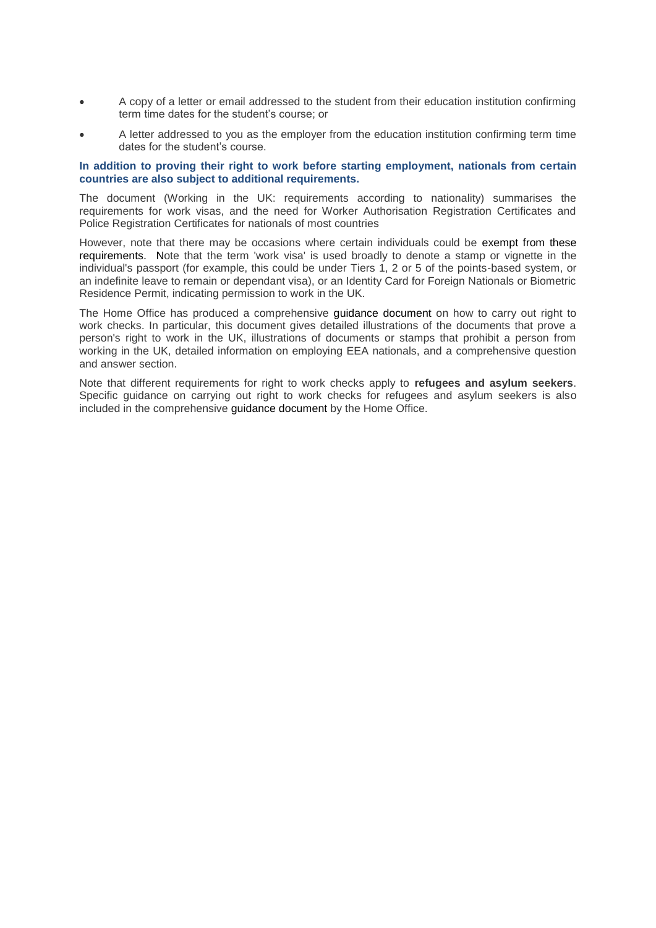- A copy of a letter or email addressed to the student from their education institution confirming term time dates for the student's course; or
- A letter addressed to you as the employer from the education institution confirming term time dates for the student's course.

#### **In addition to proving their right to work before starting employment, nationals from certain countries are also subject to additional requirements.**

The document (Working in the UK: requirements according to nationality) summarises the requirements for work visas, and the need for Worker Authorisation Registration Certificates and Police Registration Certificates for nationals of most countries

However, note that there may be occasions where certain individuals could be [exempt from these](http://www.admin.ox.ac.uk/personnel/permits/overseasna/)  [requirements.](http://www.admin.ox.ac.uk/personnel/permits/overseasna/) Note that the term 'work visa' is used broadly to denote a stamp or vignette in the individual's passport (for example, this could be under Tiers 1, 2 or 5 of the points-based system, or an indefinite leave to remain or dependant visa), or an Identity Card for Foreign Nationals or Biometric Residence Permit, indicating permission to work in the UK.

The Home Office has produced a comprehensive [guidance document](https://www.gov.uk/government/uploads/system/uploads/attachment_data/file/313849/employers_guide_to_acceptable_right_to_work_documents.pdf) on how to carry out right to work checks. In particular, this document gives detailed illustrations of the documents that prove a person's right to work in the UK, illustrations of documents or stamps that prohibit a person from working in the UK, detailed information on employing EEA nationals, and a comprehensive question and answer section.

Note that different requirements for right to work checks apply to **refugees and asylum seekers**. Specific guidance on carrying out right to work checks for refugees and asylum seekers is also included in the comprehensive [guidance document](https://www.gov.uk/government/uploads/system/uploads/attachment_data/file/313849/employers_guide_to_acceptable_right_to_work_documents.pdf) by the Home Office.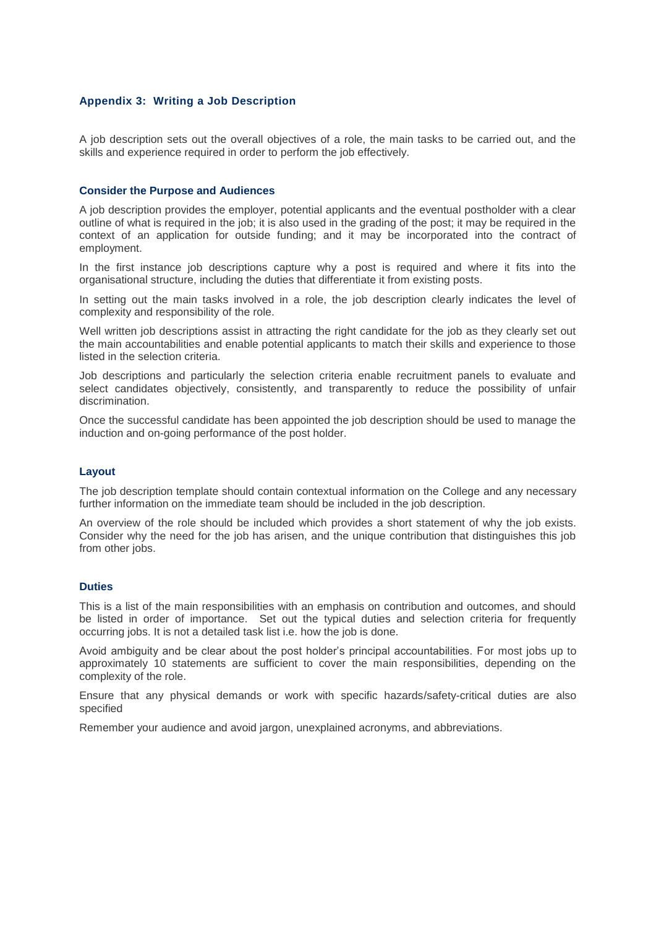#### **Appendix 3: Writing a Job Description**

A job description sets out the overall objectives of a role, the main tasks to be carried out, and the skills and experience required in order to perform the job effectively.

#### **Consider the Purpose and Audiences**

A job description provides the employer, potential applicants and the eventual postholder with a clear outline of what is required in the job; it is also used in the grading of the post; it may be required in the context of an application for outside funding; and it may be incorporated into the contract of employment.

In the first instance job descriptions capture why a post is required and where it fits into the organisational structure, including the duties that differentiate it from existing posts.

In setting out the main tasks involved in a role, the job description clearly indicates the level of complexity and responsibility of the role.

Well written job descriptions assist in attracting the right candidate for the job as they clearly set out the main accountabilities and enable potential applicants to match their skills and experience to those listed in the selection criteria.

Job descriptions and particularly the selection criteria enable recruitment panels to evaluate and select candidates objectively, consistently, and transparently to reduce the possibility of unfair discrimination.

Once the successful candidate has been appointed the job description should be used to manage the induction and on-going performance of the post holder.

#### **Layout**

The job description template should contain contextual information on the College and any necessary further information on the immediate team should be included in the job description.

An overview of the role should be included which provides a short statement of why the job exists. Consider why the need for the job has arisen, and the unique contribution that distinguishes this job from other jobs.

#### **Duties**

This is a list of the main responsibilities with an emphasis on contribution and outcomes, and should be listed in order of importance. Set out the typical duties and selection criteria for frequently occurring jobs. It is not a detailed task list i.e. how the job is done.

Avoid ambiguity and be clear about the post holder's principal accountabilities. For most jobs up to approximately 10 statements are sufficient to cover the main responsibilities, depending on the complexity of the role.

Ensure that any physical demands or work with specific hazards/safety-critical duties are also specified

Remember your audience and avoid jargon, unexplained acronyms, and abbreviations.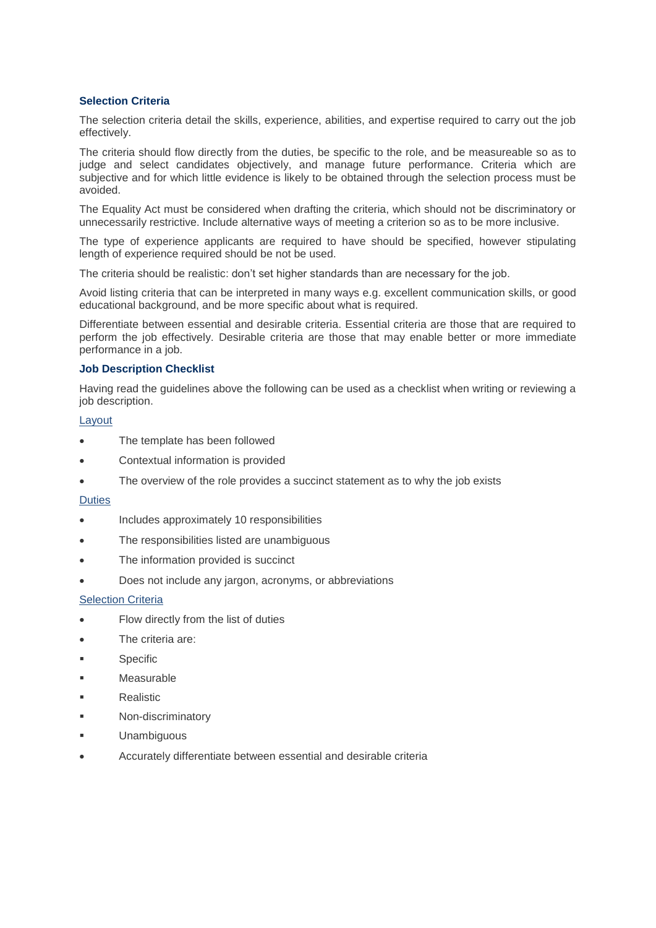#### **Selection Criteria**

The selection criteria detail the skills, experience, abilities, and expertise required to carry out the job effectively.

The criteria should flow directly from the duties, be specific to the role, and be measureable so as to judge and select candidates objectively, and manage future performance. Criteria which are subjective and for which little evidence is likely to be obtained through the selection process must be avoided.

The Equality Act must be considered when drafting the criteria, which should not be discriminatory or unnecessarily restrictive. Include alternative ways of meeting a criterion so as to be more inclusive.

The type of experience applicants are required to have should be specified, however stipulating length of experience required should be not be used.

The criteria should be realistic: don't set higher standards than are necessary for the job.

Avoid listing criteria that can be interpreted in many ways e.g. excellent communication skills, or good educational background, and be more specific about what is required.

Differentiate between essential and desirable criteria. Essential criteria are those that are required to perform the job effectively. Desirable criteria are those that may enable better or more immediate performance in a job.

#### **Job Description Checklist**

Having read the guidelines above the following can be used as a checklist when writing or reviewing a job description.

#### Layout

- The template has been followed
- Contextual information is provided
- The overview of the role provides a succinct statement as to why the job exists

#### **Duties**

- Includes approximately 10 responsibilities
- The responsibilities listed are unambiguous
- The information provided is succinct
- Does not include any jargon, acronyms, or abbreviations

#### Selection Criteria

- Flow directly from the list of duties
- The criteria are:
- Specific
- Measurable
- Realistic
- Non-discriminatory
- Unambiguous
- Accurately differentiate between essential and desirable criteria